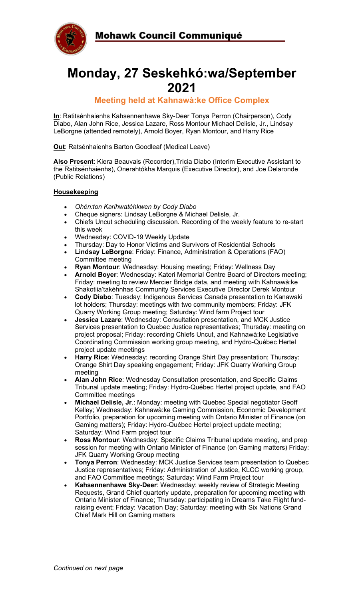



# **Monday, 27 Seskehkó:wa/September 2021**

### **Meeting held at Kahnawà:ke Office Complex**

**In**: Ratitsénhaienhs Kahsennenhawe Sky-Deer Tonya Perron (Chairperson), Cody Diabo, Alan John Rice, Jessica Lazare, Ross Montour Michael Delisle, Jr., Lindsay LeBorgne (attended remotely), Arnold Boyer, Ryan Montour, and Harry Rice

**Out**: Ratsénhaienhs Barton Goodleaf (Medical Leave)

**Also Present**: Kiera Beauvais (Recorder),Tricia Diabo (Interim Executive Assistant to the Ratitsénhaienhs), Onerahtókha Marquis (Executive Director), and Joe Delaronde (Public Relations)

#### **Housekeeping**

- *Ohén:ton Karihwatéhkwen by Cody Diabo*
- Cheque signers: Lindsay LeBorgne & Michael Delisle, Jr.
- Chiefs Uncut scheduling discussion. Recording of the weekly feature to re-start this week
- Wednesday: COVID-19 Weekly Update
- Thursday: Day to Honor Victims and Survivors of Residential Schools
- **Lindsay LeBorgne**: Friday: Finance, Administration & Operations (FAO) Committee meeting
- **Ryan Montour**: Wednesday: Housing meeting; Friday: Wellness Day
- **Arnold Boyer**: Wednesday: Kateri Memorial Centre Board of Directors meeting; Friday: meeting to review Mercier Bridge data, and meeting with Kahnawà:ke Shakotiia'takéhnhas Community Services Executive Director Derek Montour
- **Cody Diabo**: Tuesday: Indigenous Services Canada presentation to Kanawaki lot holders; Thursday: meetings with two community members; Friday: JFK Quarry Working Group meeting; Saturday: Wind farm Project tour
- **Jessica Lazare**: Wednesday: Consultation presentation, and MCK Justice Services presentation to Quebec Justice representatives; Thursday: meeting on project proposal; Friday: recording Chiefs Uncut, and Kahnawà:ke Legislative Coordinating Commission working group meeting, and Hydro-Québec Hertel project update meetings
- **Harry Rice**: Wednesday: recording Orange Shirt Day presentation; Thursday: Orange Shirt Day speaking engagement; Friday: JFK Quarry Working Group meeting
- **Alan John Rice**: Wednesday Consultation presentation, and Specific Claims Tribunal update meeting; Friday: Hydro-Québec Hertel project update, and FAO Committee meetings
- **Michael Delisle, Jr**.: Monday: meeting with Quebec Special negotiator Geoff Kelley; Wednesday: Kahnawà:ke Gaming Commission, Economic Development Portfolio, preparation for upcoming meeting with Ontario Minister of Finance (on Gaming matters); Friday: Hydro-Québec Hertel project update meeting; Saturday: Wind Farm project tour
- **Ross Montour**: Wednesday: Specific Claims Tribunal update meeting, and prep session for meeting with Ontario Minister of Finance (on Gaming matters) Friday: JFK Quarry Working Group meeting
- **Tonya Perron**: Wednesday: MCK Justice Services team presentation to Quebec Justice representatives; Friday: Administration of Justice, KLCC working group, and FAO Committee meetings; Saturday: Wind Farm Project tour
- **Kahsennenhawe Sky-Deer**: Wednesday: weekly review of Strategic Meeting Requests, Grand Chief quarterly update, preparation for upcoming meeting with Ontario Minister of Finance; Thursday: participating in Dreams Take Flight fundraising event; Friday: Vacation Day; Saturday: meeting with Six Nations Grand Chief Mark Hill on Gaming matters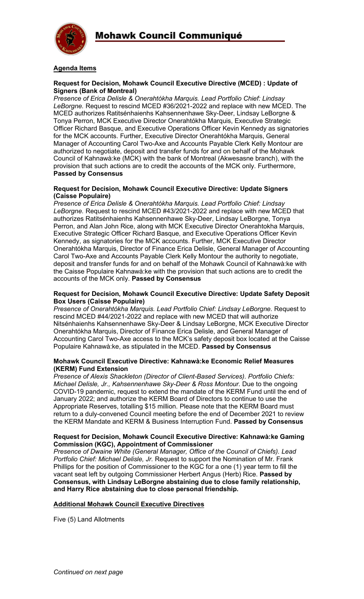

#### **Agenda Items**

#### **Request for Decision, Mohawk Council Executive Directive (MCED) : Update of Signers (Bank of Montreal)**

*Presence of Erica Delisle & Onerahtókha Marquis. Lead Portfolio Chief: Lindsay LeBorgne.* Request to rescind MCED #36/2021-2022 and replace with new MCED. The MCED authorizes Ratitsénhaienhs Kahsennenhawe Sky-Deer, Lindsay LeBorgne & Tonya Perron, MCK Executive Director Onerahtókha Marquis, Executive Strategic Officer Richard Basque, and Executive Operations Officer Kevin Kennedy as signatories for the MCK accounts. Further, Executive Director Onerahtókha Marquis, General Manager of Accounting Carol Two-Axe and Accounts Payable Clerk Kelly Montour are authorized to negotiate, deposit and transfer funds for and on behalf of the Mohawk Council of Kahnawà:ke (MCK) with the bank of Montreal (Akwesasne branch), with the provision that such actions are to credit the accounts of the MCK only. Furthermore, **Passed by Consensus**

#### **Request for Decision, Mohawk Council Executive Directive: Update Signers (Caisse Populaire)**

*Presence of Erica Delisle & Onerahtókha Marquis. Lead Portfolio Chief: Lindsay LeBorgne.* Request to rescind MCED #43/2021-2022 and replace with new MCED that authorizes Ratitsénhaienhs Kahsennenhawe Sky-Deer, Lindsay LeBorgne, Tonya Perron, and Alan John Rice, along with MCK Executive Director Onerahtokha Marquis, Executive Strategic Officer Richard Basque, and Executive Operations Officer Kevin Kennedy, as signatories for the MCK accounts. Further, MCK Executive Director Onerahtókha Marquis, Director of Finance Erica Delisle, General Manager of Accounting Carol Two-Axe and Accounts Payable Clerk Kelly Montour the authority to negotiate, deposit and transfer funds for and on behalf of the Mohawk Council of Kahnawà:ke with the Caisse Populaire Kahnawà:ke with the provision that such actions are to credit the accounts of the MCK only. **Passed by Consensus**

#### **Request for Decision, Mohawk Council Executive Directive: Update Safety Deposit Box Users (Caisse Populaire)**

*Presence of Onerahtókha Marquis. Lead Portfolio Chief: Lindsay LeBorgne.* Request to rescind MCED #44/2021-2022 and replace with new MCED that will authorize Nitsénhaienhs Kahsennenhawe Sky-Deer & Lindsay LeBorgne, MCK Executive Director Onerahtókha Marquis, Director of Finance Erica Delisle, and General Manager of Accounting Carol Two-Axe access to the MCK's safety deposit box located at the Caisse Populaire Kahnawà:ke, as stipulated in the MCED. **Passed by Consensus**

#### **Mohawk Council Executive Directive: Kahnawà:ke Economic Relief Measures (KERM) Fund Extension**

*Presence of Alexis Shackleton (Director of Client-Based Services). Portfolio Chiefs: Michael Delisle, Jr., Kahsennenhawe Sky-Deer & Ross Montour.* Due to the ongoing COVID-19 pandemic, request to extend the mandate of the KERM Fund until the end of January 2022; and authorize the KERM Board of Directors to continue to use the Appropriate Reserves, totalling \$15 million. Please note that the KERM Board must return to a duly-convened Council meeting before the end of December 2021 to review the KERM Mandate and KERM & Business Interruption Fund. **Passed by Consensus**

#### **Request for Decision, Mohawk Council Executive Directive: Kahnawà:ke Gaming Commission (KGC), Appointment of Commissioner**

*Presence of Dwaine White (General Manager, Office of the Council of Chiefs). Lead Portfolio Chief: Michael Delisle, Jr.* Request to support the Nomination of Mr. Frank Phillips for the position of Commissioner to the KGC for a one (1) year term to fill the vacant seat left by outgoing Commissioner Herbert Angus (Herb) Rice. **Passed by Consensus, with Lindsay LeBorgne abstaining due to close family relationship, and Harry Rice abstaining due to close personal friendship.**

#### **Additional Mohawk Council Executive Directives**

Five (5) Land Allotments